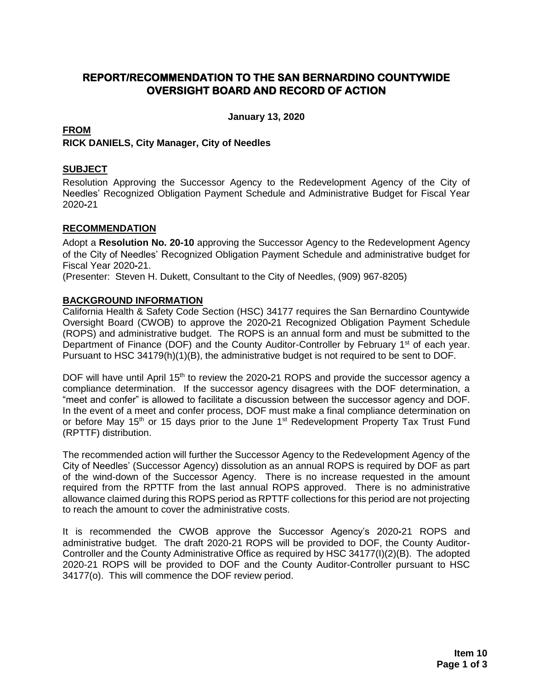# **REPORT/RECOMMENDATION TO THE SAN BERNARDINO COUNTYWIDE OVERSIGHT BOARD AND RECORD OF ACTION**

**January 13, 2020**

## **FROM**

## **RICK DANIELS, City Manager, City of Needles**

## **SUBJECT**

Resolution Approving the Successor Agency to the Redevelopment Agency of the City of Needles' Recognized Obligation Payment Schedule and Administrative Budget for Fiscal Year 2020**-**21

## **RECOMMENDATION**

Adopt a **Resolution No. 20-10** approving the Successor Agency to the Redevelopment Agency of the City of Needles' Recognized Obligation Payment Schedule and administrative budget for Fiscal Year 2020**-**21.

(Presenter: Steven H. Dukett, Consultant to the City of Needles, (909) 967-8205)

#### **BACKGROUND INFORMATION**

California Health & Safety Code Section (HSC) 34177 requires the San Bernardino Countywide Oversight Board (CWOB) to approve the 2020**-**21 Recognized Obligation Payment Schedule (ROPS) and administrative budget. The ROPS is an annual form and must be submitted to the Department of Finance (DOF) and the County Auditor-Controller by February 1<sup>st</sup> of each year. Pursuant to HSC 34179(h)(1)(B), the administrative budget is not required to be sent to DOF.

DOF will have until April 15<sup>th</sup> to review the 2020-21 ROPS and provide the successor agency a compliance determination. If the successor agency disagrees with the DOF determination, a "meet and confer" is allowed to facilitate a discussion between the successor agency and DOF. In the event of a meet and confer process, DOF must make a final compliance determination on or before May 15<sup>th</sup> or 15 days prior to the June 1<sup>st</sup> Redevelopment Property Tax Trust Fund (RPTTF) distribution.

The recommended action will further the Successor Agency to the Redevelopment Agency of the City of Needles' (Successor Agency) dissolution as an annual ROPS is required by DOF as part of the wind-down of the Successor Agency. There is no increase requested in the amount required from the RPTTF from the last annual ROPS approved. There is no administrative allowance claimed during this ROPS period as RPTTF collections for this period are not projecting to reach the amount to cover the administrative costs.

It is recommended the CWOB approve the Successor Agency's 2020**-**21 ROPS and administrative budget. The draft 2020-21 ROPS will be provided to DOF, the County Auditor-Controller and the County Administrative Office as required by HSC 34177(I)(2)(B). The adopted 2020-21 ROPS will be provided to DOF and the County Auditor-Controller pursuant to HSC 34177(o). This will commence the DOF review period.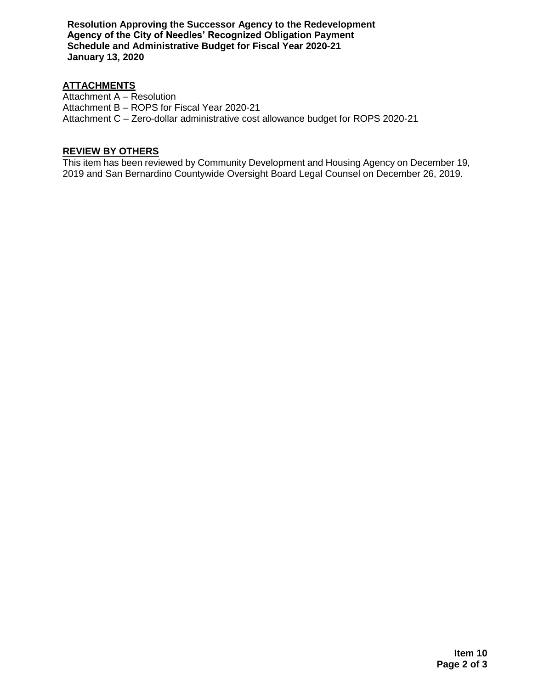**Resolution Approving the Successor Agency to the Redevelopment Agency of the City of Needles' Recognized Obligation Payment Schedule and Administrative Budget for Fiscal Year 2020-21 January 13, 2020**

## **ATTACHMENTS**

Attachment A – Resolution Attachment B – ROPS for Fiscal Year 2020-21 Attachment C – Zero-dollar administrative cost allowance budget for ROPS 2020-21

#### **REVIEW BY OTHERS**

This item has been reviewed by Community Development and Housing Agency on December 19, 2019 and San Bernardino Countywide Oversight Board Legal Counsel on December 26, 2019.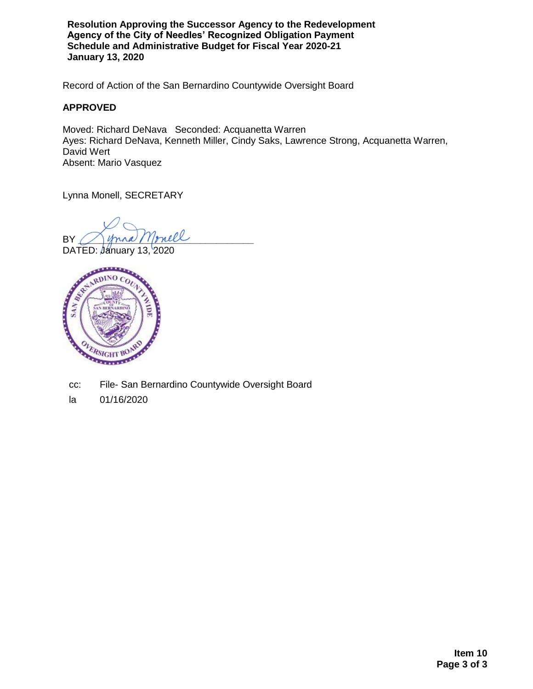**Resolution Approving the Successor Agency to the Redevelopment Agency of the City of Needles' Recognized Obligation Payment Schedule and Administrative Budget for Fiscal Year 2020-21 January 13, 2020**

Record of Action of the San Bernardino Countywide Oversight Board

#### **APPROVED**

Moved: Richard DeNava Seconded: Acquanetta Warren Ayes: Richard DeNava, Kenneth Miller, Cindy Saks, Lawrence Strong, Acquanetta Warren, David Wert Absent: Mario Vasquez

Lynna Monell, SECRETARY

BY ( ) yound Monell

DATED: January 13, 2020



cc: File- San Bernardino Countywide Oversight Board

la 01/16/2020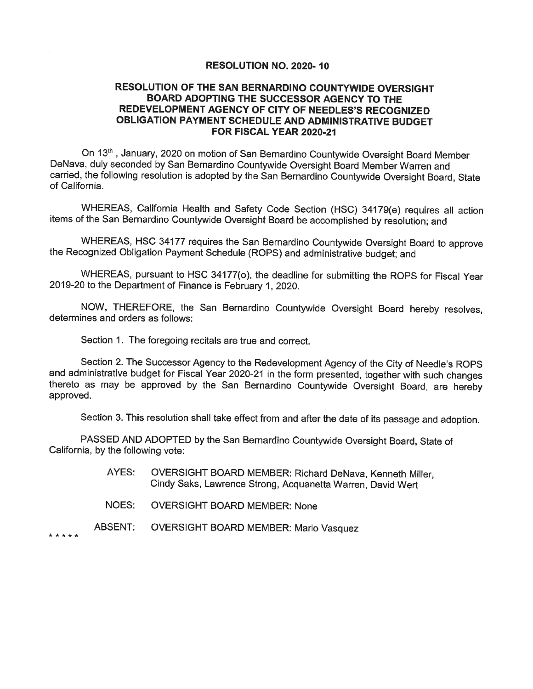#### RESOLUTION NO. 2020-10

#### RESOLUTION OF THE SAN BERNARDINO COUNTYWIDE OVERSIGHT BOARD ADOPTING THE SUCCESSOR AGENCY TO THE REDEVELOPMENT AGENCY OF CITY OF NEEDLES'S RECOGNIZED OBLIGATION PAYMENT SCHEDULE AND ADMINISTRATIVE BUDGET FOR FISCAL YEAR 2020-21

On 13<sup>th</sup>, January, 2020 on motion of San Bernardino Countywide Oversight Board Member DeNava, duly seconded by San Bernardino Countywide Oversight Board Member Warren and carried, the following resolution is adopted by the San Bernardino Countywide Oversight Board, State of California.

WHEREAS, California Health and Safety Code Section (HSC) 34179(e) requires all action items of the San Bernardino Countywide Oversight Board be accomplished by resolution; and

WHEREAS, HSC 34177 requires the San Bernardino Countywide Oversight Board to approve the Recognized Obligation Payment Schedule (ROPS) and administrative budget; and

WHEREAS, pursuant to HSC 34177(o), the deadline for submitting the ROPS for Fiscal Year 2019-20 to the Department of Finance is February 1, 2020.

NOW, THEREFORE, the San Bernardino Countywide Oversight Board hereby resolves, determines and orders as follows:

Section 1. The foregoing recitals are true and correct.

Section 2. The Successor Agency to the Redevelopment Agency of the City of Needle's ROPS and administrative budget for Fiscal Year 2020-21 in the form presented, together with such changes thereto as may be approved by the San Bernardino Countywide Oversight Board, are hereby approved.

Section 3. This resolution shall take effect from and after the date of its passage and adoption.

PASSED AND ADOPTED by the San Bernardino Countywide Oversight Board, State of California, by the following vote:

- OVERSIGHT BOARD MEMBER: Richard DeNava, Kenneth Miller, AYES: Cindy Saks, Lawrence Strong, Acquanetta Warren, David Wert
- NOES: **OVERSIGHT BOARD MEMBER: None**
- ABSENT: OVERSIGHT BOARD MEMBER: Mario Vasquez

\* \* \* \* \*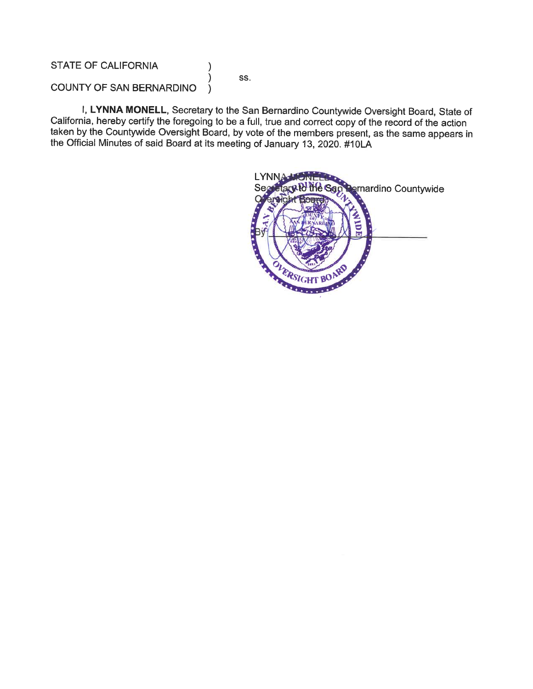**STATE OF CALIFORNIA** 

SS.

 $\mathcal{E}$ 

 $\mathcal{E}$ 

COUNTY OF SAN BERNARDINO  $\lambda$ 

I, LYNNA MONELL, Secretary to the San Bernardino Countywide Oversight Board, State of California, hereby certify the foregoing to be a full, true and correct copy of the record of the action taken by the Countywide Oversight Board, by vote of the members present, as the same appears in the Official Minutes of said Board at its meeting of January 13, 2020. #10LA

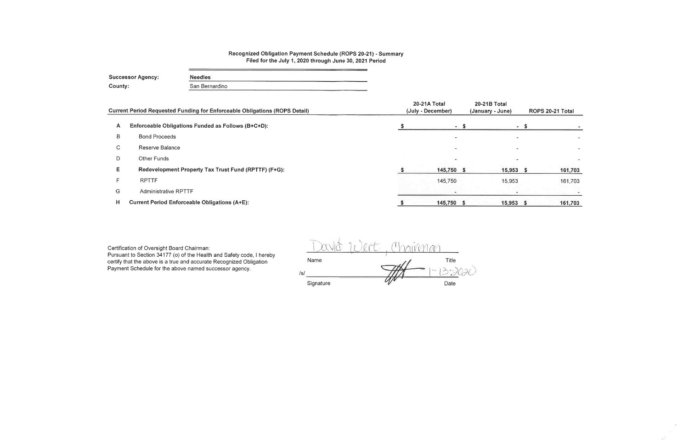## Recognized Obligation Payment Schedule (ROPS 20-21) - Summary Filed for the July 1, 2020 through June 30, 2021 Period

| <b>Successor Agency:</b> | <b>Needles</b> |
|--------------------------|----------------|
| County:                  | San Bernardino |

|    | Current Period Requested Funding for Enforceable Obligations (ROPS Detail) | 20-21A Total<br>(July - December) | 20-21B Total<br>(January - June) | ROPS 20-21 Total |
|----|----------------------------------------------------------------------------|-----------------------------------|----------------------------------|------------------|
| A  | Enforceable Obligations Funded as Follows (B+C+D):                         | $-S$                              | $\sim$                           |                  |
| в  | <b>Bond Proceeds</b>                                                       | $\overline{\phantom{a}}$          |                                  |                  |
| C. | Reserve Balance                                                            | $\overline{\phantom{0}}$          |                                  |                  |
| D  | Other Funds                                                                | $\overline{\phantom{a}}$          |                                  |                  |
| E. | Redevelopment Property Tax Trust Fund (RPTTF) (F+G):                       | 145,750 \$                        | 15,953                           | 161,703          |
|    | <b>RPTTF</b>                                                               | 145,750                           | 15,953                           | 161,703          |
| G  | <b>Administrative RPTTF</b>                                                | $\overline{\phantom{0}}$          |                                  |                  |
| н  | <b>Current Period Enforceable Obligations (A+E):</b>                       | 145,750 \$                        | 15,953                           | 161,703<br>- 5   |

Certification of Oversight Board Chairman:

Pursuant to Section 34177 (o) of the Health and Safety code, I hereby certify that the above is a true and accurate Recognized Obligation Payment Schedule for the above named successor agency.

avit Wert Chairman Name Title  $/s/$  $U^{\prime}$ Signature Date

 $\mathcal{I}$  .

all.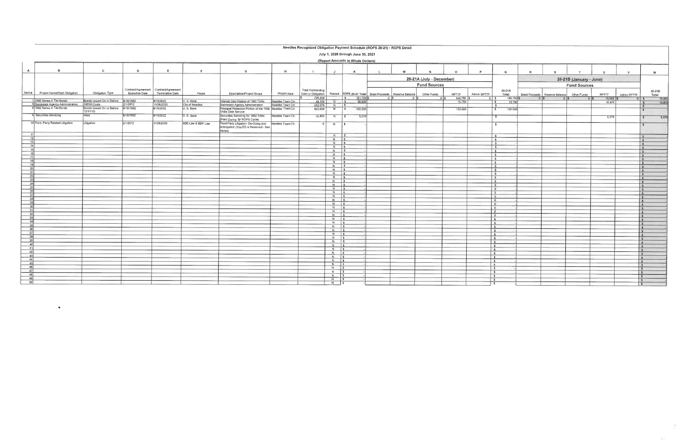#### Needles Recognized Obligation Payment Schedule (ROPS 20-21) - ROPS Detail

|                       | July 1, 2020 through June 30, 2021                                       |                                                 |                       |                                                             |                               |                                                                                        |                                        |                                                |                     |                                                        |              |           |                          |              |             |                                        |         |                                               |                         |        |                                  |                         |
|-----------------------|--------------------------------------------------------------------------|-------------------------------------------------|-----------------------|-------------------------------------------------------------|-------------------------------|----------------------------------------------------------------------------------------|----------------------------------------|------------------------------------------------|---------------------|--------------------------------------------------------|--------------|-----------|--------------------------|--------------|-------------|----------------------------------------|---------|-----------------------------------------------|-------------------------|--------|----------------------------------|-------------------------|
|                       |                                                                          |                                                 |                       |                                                             |                               |                                                                                        |                                        |                                                |                     | (Report Amounts in Whole Dollars)                      |              |           |                          |              |             |                                        |         |                                               |                         |        |                                  |                         |
| A                     | $\mathbf{B}$                                                             | $\mathbf{c}$                                    | D                     |                                                             | E                             | G                                                                                      | H                                      | $\blacksquare$                                 | J                   | К                                                      | $\mathbf{L}$ | M         |                          | $\Omega$     | P.          | $\mathbf{Q}$                           | R       |                                               |                         |        | $\mathbf{v}$                     | w                       |
|                       |                                                                          |                                                 |                       |                                                             |                               |                                                                                        |                                        |                                                |                     |                                                        |              |           | 20-21A (July - December) |              |             |                                        |         |                                               | 20-21B (January - June) |        |                                  |                         |
|                       |                                                                          |                                                 |                       |                                                             |                               |                                                                                        |                                        |                                                |                     |                                                        |              |           | <b>Fund Sources</b>      |              |             |                                        |         |                                               | <b>Fund Sources</b>     |        |                                  |                         |
| Item $#$              | Project Name/Debt Obligation                                             | Obligation Type                                 | <b>Execution Date</b> | Contract/Agreement   Contract/Agreement<br>Termination Date | Payee                         | Description/Project Scope                                                              | Project Area                           | <b>Total Outstanding</b><br>Debt or Obligation |                     | Retired ROPS 20-21 Total Bond Proceeds Reserve Balance |              |           | Other Funds              | <b>RPTTF</b> | Admin RPTTF | 20-21A<br>Total                        |         | Bond Proceeds   Reserve Balance   Other Funds |                         | RPTTF  | Admin RPTTF                      | 20-21B<br>Total         |
|                       |                                                                          |                                                 |                       |                                                             |                               |                                                                                        |                                        | 725,229                                        |                     | 161,703 \$<br>$\sqrt{S}$                               |              | $0$ $ s $ | $0$   \$                 | $145,750$ \$ | $0 \mid 5$  | 145,750 \$                             | $0$   s | $0$ S                                         | $0$ S                   | 15,953 | $0$ $\sqrt{s}$                   | 15,953                  |
|                       | 1992 Series A Tax Bonds<br>6 Successor Agency Administration Admin Costs | Bonds Issued On or Before 8/16/1992             | 2/1/2012              | 8/15/2022<br>11/26/2035                                     | U. S. Bank<br>City of Needles | Interest Only Portion of 1992 TABs<br>Successor Agency Administration                  | Needles Town Ctr.<br>Needles Town Ctr. | 48.750<br>242,079                              | $N$ $\sqrt{S}$      | 26.625                                                 |              |           |                          | 15,750       |             | 15,750<br>$\mathbf{S}$                 |         |                                               |                         | 10,875 |                                  | 10.875                  |
|                       | 8 1992 Series A Tax Bonds                                                | Bonds Issued On or Before 8/16/1992<br>12/31/10 |                       | 8/15/2022                                                   | U. S. Bank                    | Principal Reduction Portion of the 1992 Needles Town Ctr.                              |                                        | 420,000                                        | $N$ $\sqrt{5}$<br>N | 130,000<br>$\sqrt{S}$                                  |              |           |                          | 130,000      |             | ∣ s<br>130,000<br>$\mathbf{s}$         |         |                                               |                         |        |                                  |                         |
|                       | Securities Servicing                                                     | Fees                                            | 8/16/1992             | 8/15/2022                                                   | U.S. Bank                     | TABs Debt Service<br>Securities Servicing for 1992 TABs                                | Needles Town Ctr.                      | 14,400                                         | $N$ \$              | 5,078                                                  |              |           |                          |              |             |                                        |         |                                               |                         | 5,078  |                                  | 5,078<br>$\mathbf{s}$   |
|                       | 10 Third - Party Related Litigation                                      | Litigation                                      | 2/1/2012              | 11/26/2035                                                  | SBE Law & BBK Law             | (Paid During "B" ROPS Cycle)<br>Third-Party Litigation: On-Going and Needles Town Cfr. |                                        |                                                | N   \$              |                                                        |              |           |                          |              |             | $\mathbf{s}$                           |         |                                               |                         |        |                                  |                         |
|                       |                                                                          |                                                 |                       |                                                             |                               | Anticipated (This EO is Reserved - See<br>Notes)                                       |                                        |                                                |                     |                                                        |              |           |                          |              |             |                                        |         |                                               |                         |        |                                  |                         |
| 11<br>12              |                                                                          |                                                 |                       |                                                             |                               |                                                                                        |                                        |                                                | $N$ $\sqrt{s}$      |                                                        |              |           |                          |              |             | $\ddot{\bm{r}}$                        |         |                                               |                         |        |                                  | $\sqrt{S}$              |
| 13                    |                                                                          |                                                 |                       |                                                             |                               |                                                                                        |                                        |                                                | $N$ $S$<br>$N$   \$ |                                                        |              |           |                          |              |             | $\mathbf{s}$                           |         |                                               |                         |        |                                  | $\mathsf{S}$            |
| 14                    |                                                                          |                                                 |                       |                                                             |                               |                                                                                        |                                        |                                                | $N$ \$              |                                                        |              |           |                          |              |             | $\overline{\phantom{a}}$<br> s         |         |                                               |                         |        |                                  | $\sim$                  |
| 15                    |                                                                          |                                                 |                       |                                                             |                               |                                                                                        |                                        |                                                | $N$ $S$             |                                                        |              |           |                          |              |             | $  \mathsf{s}  $                       |         |                                               |                         |        |                                  | $\sim$                  |
| 16                    |                                                                          |                                                 |                       |                                                             |                               |                                                                                        |                                        |                                                | $N$   \$            |                                                        |              |           |                          |              |             | 5 <sup>5</sup>                         |         |                                               |                         |        |                                  |                         |
| 17                    |                                                                          |                                                 |                       |                                                             |                               |                                                                                        |                                        |                                                | $N$ $\sqrt{s}$      |                                                        |              |           |                          |              |             | $\sqrt{2}$                             |         |                                               |                         |        |                                  |                         |
|                       |                                                                          |                                                 |                       |                                                             |                               |                                                                                        |                                        |                                                | $N$ $S$             |                                                        |              |           |                          |              |             | Is.                                    |         |                                               |                         |        |                                  |                         |
| 19<br>20              |                                                                          |                                                 |                       |                                                             |                               |                                                                                        |                                        |                                                | $N$ $\sqrt{5}$      |                                                        |              |           |                          |              |             | $\vert$ s                              |         |                                               |                         |        |                                  |                         |
| 21                    |                                                                          |                                                 |                       |                                                             |                               |                                                                                        |                                        |                                                | $N$ $s$             |                                                        |              |           |                          |              |             | $\sqrt{3}$                             |         |                                               |                         |        |                                  |                         |
| 22                    |                                                                          |                                                 |                       |                                                             |                               |                                                                                        |                                        |                                                | $N$ \$              |                                                        |              |           |                          |              |             | $\vert$ s                              |         |                                               |                         |        |                                  |                         |
|                       |                                                                          |                                                 |                       |                                                             |                               |                                                                                        |                                        |                                                | $N$ \$<br>$N$ $S$   |                                                        |              |           |                          |              |             | IS.                                    |         |                                               |                         |        |                                  | $\epsilon$              |
|                       |                                                                          |                                                 |                       |                                                             |                               |                                                                                        |                                        |                                                | $N$ $S$             |                                                        |              |           |                          |              |             | S<br>$\sqrt{3}$                        |         |                                               |                         |        |                                  | $\sim$                  |
|                       |                                                                          |                                                 |                       |                                                             |                               |                                                                                        |                                        |                                                | $N$ \$              |                                                        |              |           |                          |              |             | $\vert$ s                              |         |                                               |                         |        |                                  |                         |
|                       |                                                                          |                                                 |                       |                                                             |                               |                                                                                        |                                        |                                                | $N$ $S$             |                                                        |              |           |                          |              |             | - \$                                   |         |                                               |                         |        |                                  | $\sqrt{5}$              |
|                       |                                                                          |                                                 |                       |                                                             |                               |                                                                                        |                                        |                                                | $N$ $S$             |                                                        |              |           |                          |              |             | $\mathbf{S}$                           |         |                                               |                         |        |                                  | $\overline{\mathbf{s}}$ |
|                       |                                                                          |                                                 |                       |                                                             |                               |                                                                                        |                                        |                                                | $N$ $S$             |                                                        |              |           |                          |              |             | $\frac{1}{2}$                          |         |                                               |                         |        |                                  | $\sim$                  |
|                       |                                                                          |                                                 |                       |                                                             |                               |                                                                                        |                                        |                                                | $N$ $S$             |                                                        |              |           |                          |              |             | $\sqrt{S}$                             |         |                                               |                         |        |                                  | $\sim$                  |
|                       |                                                                          |                                                 |                       |                                                             |                               |                                                                                        |                                        |                                                | $N$ $S$             |                                                        |              |           |                          |              |             | Is.                                    |         |                                               |                         |        | $\sim$                           |                         |
|                       |                                                                          |                                                 |                       |                                                             |                               |                                                                                        |                                        |                                                | $N$ $S$             |                                                        |              |           |                          |              |             | $\mathsf{S}$                           |         |                                               |                         |        |                                  | is.                     |
| 33                    |                                                                          |                                                 |                       |                                                             |                               |                                                                                        |                                        |                                                | $N$ \$<br>$N$ \$    |                                                        |              |           |                          |              |             | $\vert$ \$<br>$\sqrt{s}$               |         |                                               |                         |        | Is.                              |                         |
|                       |                                                                          |                                                 |                       |                                                             |                               |                                                                                        |                                        |                                                | $N$ $S$             |                                                        |              |           |                          |              |             | l s                                    |         |                                               |                         |        |                                  | $\sim$<br>$\mathsf{S}$  |
|                       |                                                                          |                                                 |                       |                                                             |                               |                                                                                        |                                        |                                                | $N$ 5               |                                                        |              |           |                          |              |             | l s                                    |         |                                               |                         |        | $\sim$                           |                         |
|                       |                                                                          |                                                 |                       |                                                             |                               |                                                                                        |                                        |                                                | $N$ $\frac{1}{3}$   |                                                        |              |           |                          |              |             | $\frac{1}{2}$                          |         |                                               |                         |        | l s                              |                         |
| 37 <sup>1</sup><br>38 |                                                                          |                                                 |                       |                                                             |                               |                                                                                        |                                        |                                                | $N$ $\sqrt{s}$      |                                                        |              |           |                          |              |             | $\frac{1}{2}$                          |         |                                               |                         |        |                                  | $\mathbf{s}$            |
| 39                    |                                                                          |                                                 |                       |                                                             |                               |                                                                                        |                                        |                                                | $N$ $S$             |                                                        |              |           |                          |              |             | $\vert s$                              |         |                                               |                         |        |                                  | $\mathbf{s}$            |
| 40                    |                                                                          |                                                 |                       |                                                             |                               |                                                                                        |                                        |                                                | $N$ $\sqrt{5}$      |                                                        |              |           |                          |              |             | S                                      |         |                                               |                         |        | l s                              |                         |
| 41                    |                                                                          |                                                 |                       |                                                             |                               |                                                                                        |                                        |                                                | $N$   \$            |                                                        |              |           |                          |              |             | <b>S</b>                               |         |                                               |                         |        | $\ddot{\mathbf{x}}$              |                         |
| 42                    |                                                                          |                                                 |                       |                                                             |                               |                                                                                        |                                        |                                                | $N \mid S$          |                                                        |              |           |                          |              |             | s.                                     |         |                                               |                         |        | $\mathbf{s}$                     |                         |
| 43                    |                                                                          |                                                 |                       |                                                             |                               |                                                                                        |                                        |                                                | $N$ $s$             |                                                        |              |           |                          |              |             | $\sqrt{5}$<br>$\overline{\phantom{a}}$ |         |                                               |                         |        | $\vert s$                        |                         |
| 44                    |                                                                          |                                                 |                       |                                                             |                               |                                                                                        |                                        |                                                | $N$ $s$             |                                                        |              |           |                          |              |             | $\sqrt{2}$                             |         |                                               |                         |        | $\mathsf{ls}$<br>$\vert s \vert$ |                         |
| 45                    |                                                                          |                                                 |                       |                                                             |                               |                                                                                        |                                        |                                                | $N$ \$              |                                                        |              |           |                          |              |             | l s                                    |         |                                               |                         |        | $\vert$ s                        |                         |
| 46                    |                                                                          |                                                 |                       |                                                             |                               |                                                                                        |                                        |                                                | $N$ $S$             |                                                        |              |           |                          |              |             | ls.                                    |         |                                               |                         |        | $\sqrt{5}$                       |                         |
| 47                    |                                                                          |                                                 |                       |                                                             |                               |                                                                                        |                                        |                                                | $N$   \$            |                                                        |              |           |                          |              |             | $\mathsf{S}$                           |         |                                               |                         |        | $\vert s$                        |                         |
| 48                    |                                                                          |                                                 |                       |                                                             |                               |                                                                                        |                                        |                                                | $N$ $\vert$ s       |                                                        |              |           |                          |              |             | $\overline{\mathbf{s}}$                |         |                                               |                         |        | $\mathsf{S}$                     |                         |
| 49                    |                                                                          |                                                 |                       |                                                             |                               |                                                                                        |                                        |                                                | $N$ $s$             |                                                        |              |           |                          |              |             | l s                                    |         |                                               |                         |        | $\sqrt{S}$                       |                         |
|                       |                                                                          |                                                 |                       |                                                             |                               |                                                                                        |                                        |                                                | $N$ \$              |                                                        |              |           |                          |              |             | - 5                                    |         |                                               |                         |        | $\sqrt{5}$                       |                         |

 $\bullet$ 

**SALE**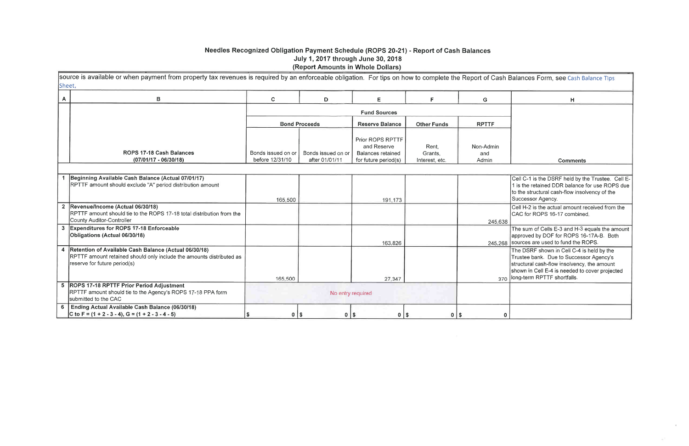# Needles Recognized Obligation Payment Schedule (ROPS 20-21) - Report of Cash Balances<br>July 1, 2017 through June 30, 2018 (Report Amounts in Whole Dollars)

source is available or when payment from property tax revenues is required by an enforceable obligation. For tips on how to complete the Report of Cash Sheet.

| A                       | в                                                                                                                                                                 | $\mathbf{C}$                          | D                                    | E.                                                                           | F                                  | G                         |
|-------------------------|-------------------------------------------------------------------------------------------------------------------------------------------------------------------|---------------------------------------|--------------------------------------|------------------------------------------------------------------------------|------------------------------------|---------------------------|
|                         |                                                                                                                                                                   |                                       |                                      | <b>Fund Sources</b>                                                          |                                    |                           |
|                         |                                                                                                                                                                   |                                       | <b>Bond Proceeds</b>                 | <b>Reserve Balance</b>                                                       | <b>Other Funds</b>                 | <b>RPTTF</b>              |
|                         | <b>ROPS 17-18 Cash Balances</b><br>$(07/01/17 - 06/30/18)$                                                                                                        | Bonds issued on or<br>before 12/31/10 | Bonds issued on or<br>after 01/01/11 | Prior ROPS RPTTF<br>and Reserve<br>Balances retained<br>for future period(s) | Rent,<br>Grants,<br>Interest, etc. | Non-Admin<br>and<br>Admin |
|                         | Beginning Available Cash Balance (Actual 07/01/17)<br>RPTTF amount should exclude "A" period distribution amount                                                  |                                       |                                      |                                                                              |                                    |                           |
| 2 <sup>1</sup>          | Revenue/Income (Actual 06/30/18)<br>RPTTF amount should tie to the ROPS 17-18 total distribution from the<br>County Auditor-Controller                            | 165,500                               |                                      | 191,173                                                                      |                                    | 245,638                   |
| $\overline{\mathbf{3}}$ | <b>Expenditures for ROPS 17-18 Enforceable</b><br>Obligations (Actual 06/30/18)                                                                                   |                                       |                                      | 163,826                                                                      |                                    | 245,268                   |
|                         | 4   Retention of Available Cash Balance (Actual 06/30/18)<br>RPTTF amount retained should only include the amounts distributed as<br>reserve for future period(s) |                                       |                                      |                                                                              |                                    |                           |
|                         | 5 ROPS 17-18 RPTTF Prior Period Adjustment<br>RPTTF amount should tie to the Agency's ROPS 17-18 PPA form<br>submitted to the CAC                                 | 165,500                               | No entry required                    | 27,347                                                                       |                                    | 370                       |
| 6                       | Ending Actual Available Cash Balance (06/30/18)<br>C to F = $(1 + 2 - 3 - 4)$ , G = $(1 + 2 - 3 - 4 - 5)$                                                         | \$<br>$\mathbf 0$                     | \$<br>$0$   \$                       | $0$   \$                                                                     | $0$   \$                           |                           |

|   | Balances Form, see Cash Balance Tips                                                                                                                                                                                 |
|---|----------------------------------------------------------------------------------------------------------------------------------------------------------------------------------------------------------------------|
|   | н                                                                                                                                                                                                                    |
|   |                                                                                                                                                                                                                      |
|   |                                                                                                                                                                                                                      |
|   |                                                                                                                                                                                                                      |
|   |                                                                                                                                                                                                                      |
|   | <b>Comments</b>                                                                                                                                                                                                      |
|   |                                                                                                                                                                                                                      |
|   | Cell C-1 is the DSRF held by the Trustee. Cell E-<br>1 is the retained DDR balance for use ROPS due<br>to the structural cash-flow insolvency of the<br>Successor Agency.                                            |
| 3 | Cell H-2 is the actual amount received from the<br>CAC for ROPS 16-17 combined.                                                                                                                                      |
| 3 | The sum of Cells E-3 and H-3 equals the amount<br>approved by DOF for ROPS 16-17A-B. Both<br>sources are used to fund the ROPS.                                                                                      |
|   | The DSRF shown in Cell C-4 is held by the<br>Trustee bank. Due to Successor Agency's<br>structural cash-flow insolvency, the amount<br>shown in Cell E-4 is needed to cover projected<br>long-term RPTTF shortfalls. |
|   |                                                                                                                                                                                                                      |
| ) |                                                                                                                                                                                                                      |

 $\epsilon$